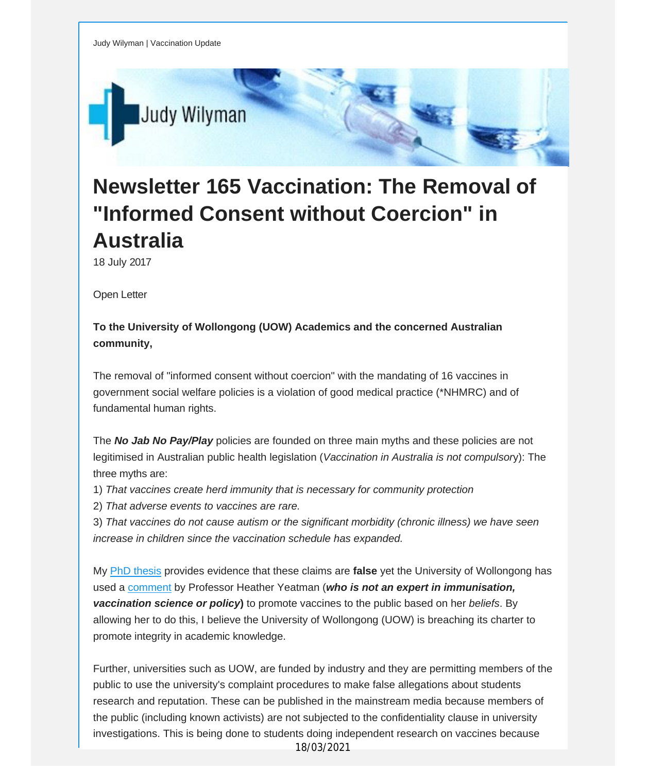

## **Newsletter 165 Vaccination: The Removal of "Informed Consent without Coercion" in Australia**

18 July 2017

Open Letter

## **To the University of Wollongong (UOW) Academics and the concerned Australian community,**

The removal of "informed consent without coercion" with the mandating of 16 vaccines in government social welfare policies is a violation of good medical practice (\*NHMRC) and of fundamental human rights.

The *No Jab No Pay/Play* policies are founded on three main myths and these policies are not legitimised in Australian public health legislation (*Vaccination in Australia is not compulsor*y): The three myths are:

- 1) *That vaccines create herd immunity that is necessary for community protection*
- 2) *That adverse events to vaccines are rare.*

3) *That vaccines do not cause autism or the significant morbidity (chronic illness) we have seen increase in children since the vaccination schedule has expanded.*

My PhD [thesis](http://vaccinationdecisions.us8.list-manage2.com/track/click?u=f20605fde3732e41929f4a3f2&id=b15f914afb&e=fec8337d3c) provides evidence that these claims are **false** yet the University of Wollongong has used a [comment](http://vaccinationdecisions.us8.list-manage.com/track/click?u=f20605fde3732e41929f4a3f2&id=5409be3687&e=fec8337d3c) by Professor Heather Yeatman (*who is not an expert in immunisation, vaccination science or policy***)** to promote vaccines to the public based on her *beliefs*. By allowing her to do this, I believe the University of Wollongong (UOW) is breaching its charter to promote integrity in academic knowledge.

Further, universities such as UOW, are funded by industry and they are permitting members of the public to use the university's complaint procedures to make false allegations about students research and reputation. These can be published in the mainstream media because members of the public (including known activists) are not subjected to the confidentiality clause in university investigations. This is being done to students doing independent research on vaccines because 18/03/2021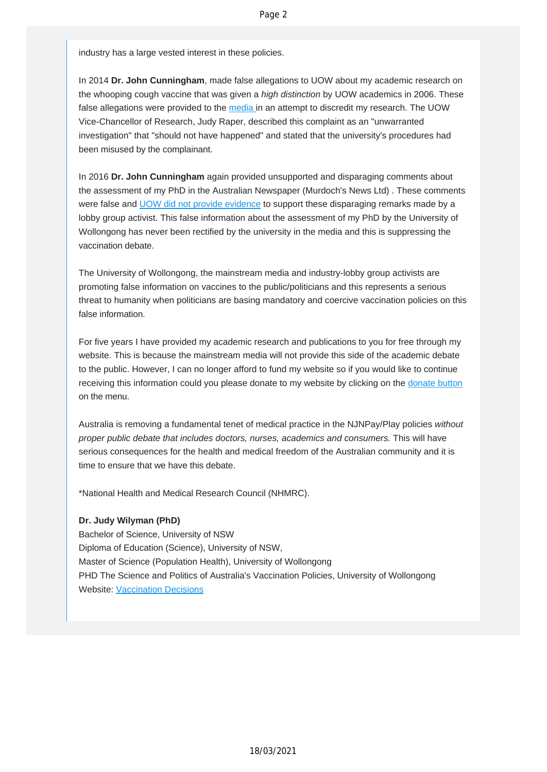industry has a large vested interest in these policies.

In 2014 **Dr. John Cunningham**, made false allegations to UOW about my academic research on the whooping cough vaccine that was given a *high distinction* by UOW academics in 2006. These false allegations were provided to the [media i](http://vaccinationdecisions.us8.list-manage1.com/track/click?u=f20605fde3732e41929f4a3f2&id=135592df41&e=fec8337d3c)n an attempt to discredit my research. The UOW Vice-Chancellor of Research, Judy Raper, described this complaint as an "unwarranted investigation" that "should not have happened" and stated that the university's procedures had been misused by the complainant.

In 2016 **Dr. John Cunningham** again provided unsupported and disparaging comments about the assessment of my PhD in the Australian Newspaper (Murdoch's News Ltd) . These comments were false and [UOW did not provide evidence](http://vaccinationdecisions.us8.list-manage.com/track/click?u=f20605fde3732e41929f4a3f2&id=8075d46e22&e=fec8337d3c) to support these disparaging remarks made by a lobby group activist. This false information about the assessment of my PhD by the University of Wollongong has never been rectified by the university in the media and this is suppressing the vaccination debate.

The University of Wollongong, the mainstream media and industry-lobby group activists are promoting false information on vaccines to the public/politicians and this represents a serious threat to humanity when politicians are basing mandatory and coercive vaccination policies on this false information.

For five years I have provided my academic research and publications to you for free through my website. This is because the mainstream media will not provide this side of the academic debate to the public. However, I can no longer afford to fund my website so if you would like to continue receiving this information could you please donate to my website by clicking on the [donate button](http://vaccinationdecisions.us8.list-manage.com/track/click?u=f20605fde3732e41929f4a3f2&id=9cf56607fe&e=fec8337d3c) on the menu.

Australia is removing a fundamental tenet of medical practice in the NJNPay/Play policies *without proper public debate that includes doctors, nurses, academics and consumers.* This will have serious consequences for the health and medical freedom of the Australian community and it is time to ensure that we have this debate.

\*National Health and Medical Research Council (NHMRC).

## **Dr. Judy Wilyman (PhD)**

Bachelor of Science, University of NSW Diploma of Education (Science), University of NSW, Master of Science (Population Health), University of Wollongong PHD The Science and Politics of Australia's Vaccination Policies, University of Wollongong Website: [Vaccination Decisions](http://vaccinationdecisions.us8.list-manage1.com/track/click?u=f20605fde3732e41929f4a3f2&id=9dcaf0bd38&e=fec8337d3c)